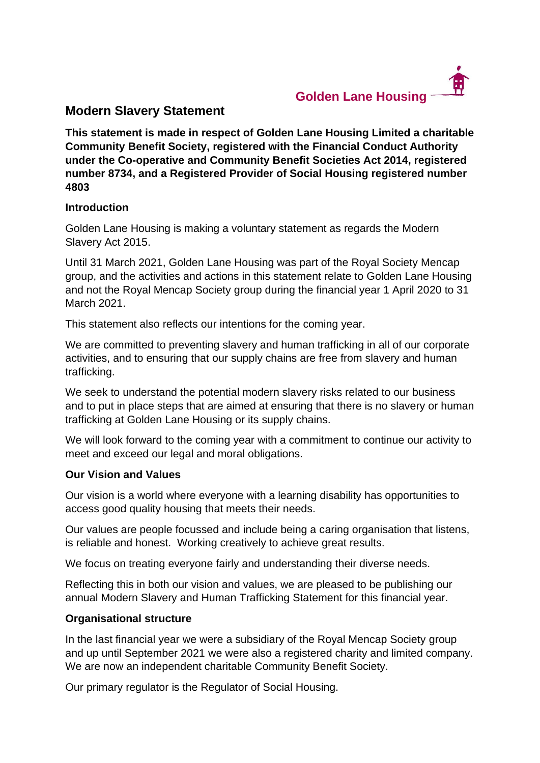

# **Modern Slavery Statement**

**This statement is made in respect of Golden Lane Housing Limited a charitable Community Benefit Society, registered with the Financial Conduct Authority under the Co-operative and Community Benefit Societies Act 2014, registered number 8734, and a Registered Provider of Social Housing registered number 4803**

### **Introduction**

Golden Lane Housing is making a voluntary statement as regards the Modern Slavery Act 2015.

Until 31 March 2021, Golden Lane Housing was part of the Royal Society Mencap group, and the activities and actions in this statement relate to Golden Lane Housing and not the Royal Mencap Society group during the financial year 1 April 2020 to 31 March 2021.

This statement also reflects our intentions for the coming year.

We are committed to preventing slavery and human trafficking in all of our corporate activities, and to ensuring that our supply chains are free from slavery and human trafficking.

We seek to understand the potential modern slavery risks related to our business and to put in place steps that are aimed at ensuring that there is no slavery or human trafficking at Golden Lane Housing or its supply chains.

We will look forward to the coming year with a commitment to continue our activity to meet and exceed our legal and moral obligations.

## **Our Vision and Values**

Our vision is a world where everyone with a learning disability has opportunities to access good quality housing that meets their needs.

Our values are people focussed and include being a caring organisation that listens, is reliable and honest. Working creatively to achieve great results.

We focus on treating everyone fairly and understanding their diverse needs.

Reflecting this in both our vision and values, we are pleased to be publishing our annual Modern Slavery and Human Trafficking Statement for this financial year.

## **Organisational structure**

In the last financial year we were a subsidiary of the Royal Mencap Society group and up until September 2021 we were also a registered charity and limited company. We are now an independent charitable Community Benefit Society.

Our primary regulator is the Regulator of Social Housing.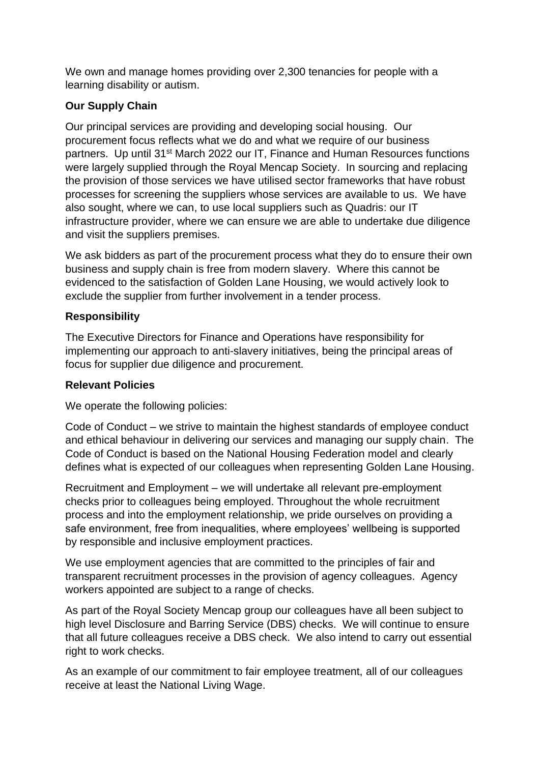We own and manage homes providing over 2,300 tenancies for people with a learning disability or autism.

# **Our Supply Chain**

Our principal services are providing and developing social housing. Our procurement focus reflects what we do and what we require of our business partners. Up until 31<sup>st</sup> March 2022 our IT, Finance and Human Resources functions were largely supplied through the Royal Mencap Society. In sourcing and replacing the provision of those services we have utilised sector frameworks that have robust processes for screening the suppliers whose services are available to us. We have also sought, where we can, to use local suppliers such as Quadris: our IT infrastructure provider, where we can ensure we are able to undertake due diligence and visit the suppliers premises.

We ask bidders as part of the procurement process what they do to ensure their own business and supply chain is free from modern slavery. Where this cannot be evidenced to the satisfaction of Golden Lane Housing, we would actively look to exclude the supplier from further involvement in a tender process.

# **Responsibility**

The Executive Directors for Finance and Operations have responsibility for implementing our approach to anti-slavery initiatives, being the principal areas of focus for supplier due diligence and procurement.

## **Relevant Policies**

We operate the following policies:

Code of Conduct – we strive to maintain the highest standards of employee conduct and ethical behaviour in delivering our services and managing our supply chain. The Code of Conduct is based on the National Housing Federation model and clearly defines what is expected of our colleagues when representing Golden Lane Housing.

Recruitment and Employment – we will undertake all relevant pre-employment checks prior to colleagues being employed. Throughout the whole recruitment process and into the employment relationship, we pride ourselves on providing a safe environment, free from inequalities, where employees' wellbeing is supported by responsible and inclusive employment practices.

We use employment agencies that are committed to the principles of fair and transparent recruitment processes in the provision of agency colleagues. Agency workers appointed are subject to a range of checks.

As part of the Royal Society Mencap group our colleagues have all been subject to high level Disclosure and Barring Service (DBS) checks. We will continue to ensure that all future colleagues receive a DBS check. We also intend to carry out essential right to work checks.

As an example of our commitment to fair employee treatment, all of our colleagues receive at least the National Living Wage.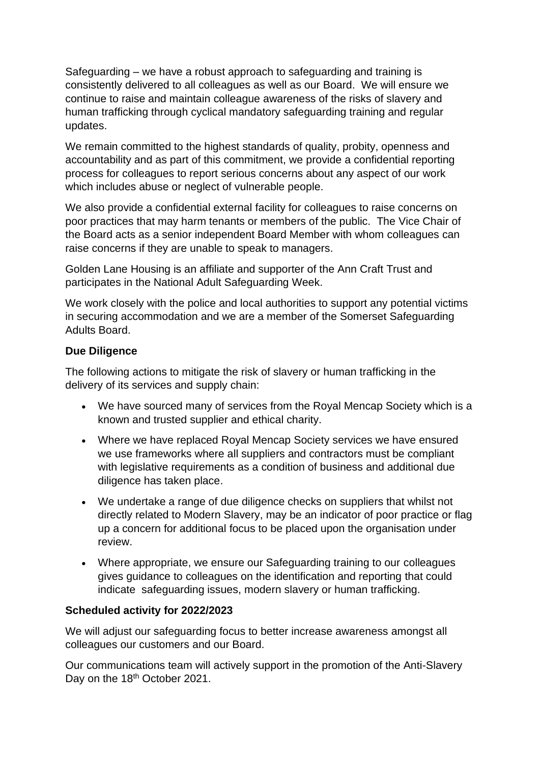Safeguarding – we have a robust approach to safeguarding and training is consistently delivered to all colleagues as well as our Board. We will ensure we continue to raise and maintain colleague awareness of the risks of slavery and human trafficking through cyclical mandatory safeguarding training and regular updates.

We remain committed to the highest standards of quality, probity, openness and accountability and as part of this commitment, we provide a confidential reporting process for colleagues to report serious concerns about any aspect of our work which includes abuse or neglect of vulnerable people.

We also provide a confidential external facility for colleagues to raise concerns on poor practices that may harm tenants or members of the public. The Vice Chair of the Board acts as a senior independent Board Member with whom colleagues can raise concerns if they are unable to speak to managers.

Golden Lane Housing is an affiliate and supporter of the Ann Craft Trust and participates in the National Adult Safeguarding Week.

We work closely with the police and local authorities to support any potential victims in securing accommodation and we are a member of the Somerset Safeguarding Adults Board.

## **Due Diligence**

The following actions to mitigate the risk of slavery or human trafficking in the delivery of its services and supply chain:

- We have sourced many of services from the Royal Mencap Society which is a known and trusted supplier and ethical charity.
- Where we have replaced Royal Mencap Society services we have ensured we use frameworks where all suppliers and contractors must be compliant with legislative requirements as a condition of business and additional due diligence has taken place.
- We undertake a range of due diligence checks on suppliers that whilst not directly related to Modern Slavery, may be an indicator of poor practice or flag up a concern for additional focus to be placed upon the organisation under review.
- Where appropriate, we ensure our Safeguarding training to our colleagues gives guidance to colleagues on the identification and reporting that could indicate safeguarding issues, modern slavery or human trafficking.

## **Scheduled activity for 2022/2023**

We will adjust our safeguarding focus to better increase awareness amongst all colleagues our customers and our Board.

Our communications team will actively support in the promotion of the Anti-Slavery Day on the 18<sup>th</sup> October 2021.